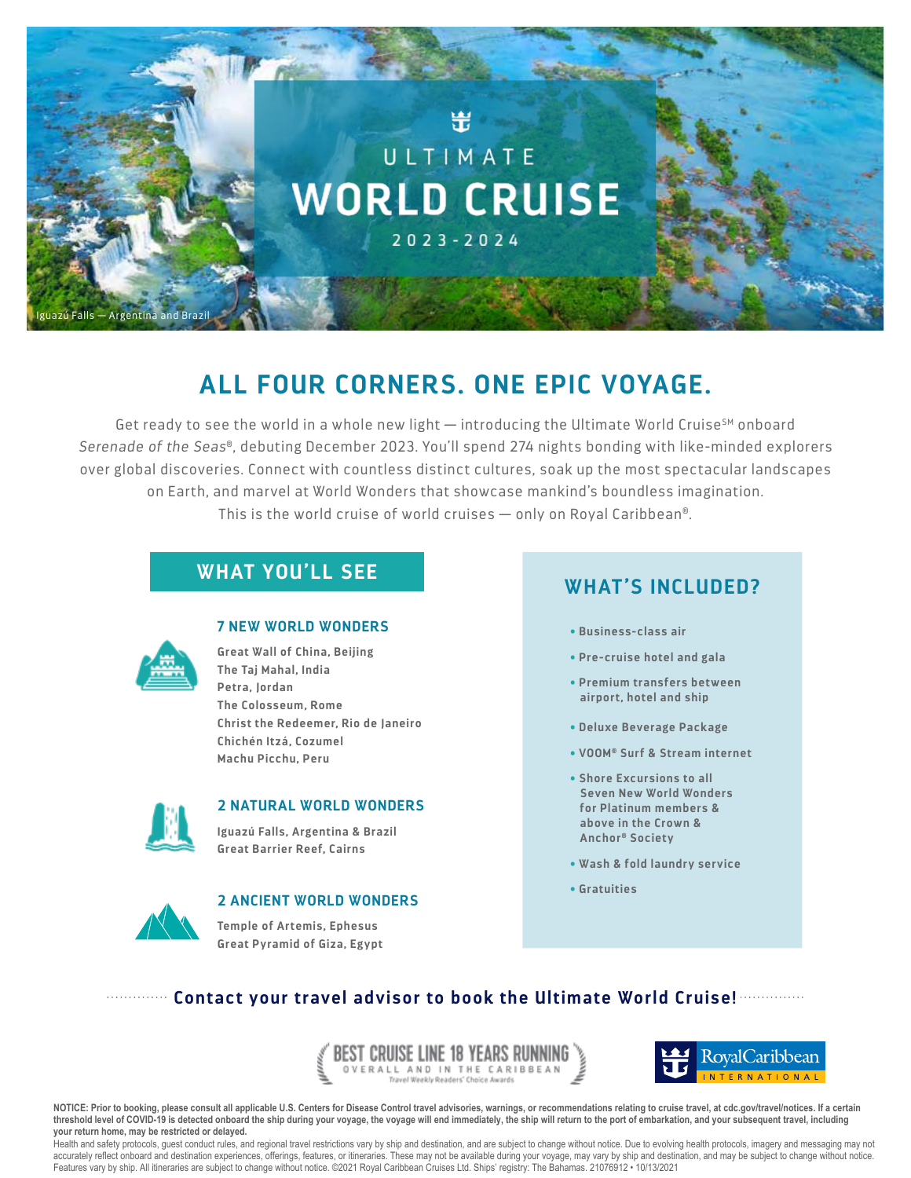

# **ALL FOUR CORNERS. ONE EPIC VOYAGE.**

Get ready to see the world in a whole new light  $-$  introducing the Ultimate World Cruise<sup>SM</sup> onboard *Serenade of the Seas*®, debuting December 2023. You'll spend 274 nights bonding with like-minded explorers over global discoveries. Connect with countless distinct cultures, soak up the most spectacular landscapes on Earth, and marvel at World Wonders that showcase mankind's boundless imagination. This is the world cruise of world cruises — only on Royal Caribbean®.

# **WHAT YOU'LL SEE WHAT'S INCLUDED?**



### **7 NEW WORLD WONDERS**

**Great Wall of China, Beijing The Taj Mahal, India Petra, Jordan The Colosseum, Rome Christ the Redeemer, Rio de Janeiro Chichén Itzá, Cozumel Machu Picchu, Peru**



### **2 NATURAL WORLD WONDERS**

**Iguazú Falls, Argentina & Brazil Great Barrier Reef, Cairns**



# **2 ANCIENT WORLD WONDERS**

**Temple of Artemis, Ephesus Great Pyramid of Giza, Egypt**

- **• Business-class air**
- **• Pre-cruise hotel and gala**
- **• Premium transfers between airport, hotel and ship**
- **• Deluxe Beverage Package**
- **• VOOM® Surf & Stream internet**
- **• Shore Excursions to all Seven New World Wonders for Platinum members & above in the Crown & Anchor® Society**
- **• Wash & fold laundry service**
- **• Gratuities**

# **Contact your travel advisor to book the Ultimate World Cruise!**

EST CRUISE LINE 18 YEARS RUNNING ERALL AND IN THE CARIBBEAN



**NOTICE: Prior to booking, please consult all applicable U.S. Centers for Disease Control travel advisories, warnings, or recommendations relating to cruise travel, at cdc.gov/travel/notices. If a certain threshold level of COVID-19 is detected onboard the ship during your voyage, the voyage will end immediately, the ship will return to the port of embarkation, and your subsequent travel, including your return home, may be restricted or delayed.**

Health and safety protocols, guest conduct rules, and regional travel restrictions vary by ship and destination, and are subject to change without notice. Due to evolving health protocols, imagery and messaging may not accurately reflect onboard and destination experiences, offerings, features, or itineraries. These may not be available during your voyage, may vary by ship and destination, and may be subject to change without notice. Features vary by ship. All itineraries are subject to change without notice. ©2021 Royal Caribbean Cruises Ltd. Ships' registry: The Bahamas. 21076912 • 10/13/2021